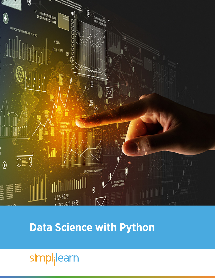

# **Data Science with Python**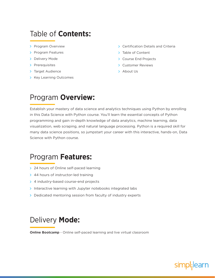### Table of **Contents:**

- > Program Overview
- > Program Features
- > Delivery Mode
- > Prerequisites
- > Target Audience
- > Key Learning Outcomes
- **>** Certification Details and Criteria
- > Table of Content
- > Course End Projects
- Customer Reviews
- > About Us

### Program **Overview:**

Establish your mastery of data science and analytics techniques using Python by enrolling in this Data Science with Python course. You'll learn the essential concepts of Python programming and gain in-depth knowledge of data analytics, machine learning, data visualization, web scraping, and natural language processing. Python is a required skill for many data science positions, so jumpstart your career with this interactive, hands-on, Data Science with Python course.

### Program **Features:**

- > 24 hours of Online self-paced learning
- > 44 hours of instructor-led training
- > 4 industry-based course-end projects
- $\triangleright$  Interactive learning with Jupyter notebooks integrated labs
- > Dedicated mentoring session from faculty of industry experts

### Delivery **Mode:**

**Online Bootcamp** - Online self-paced learning and live virtual classroom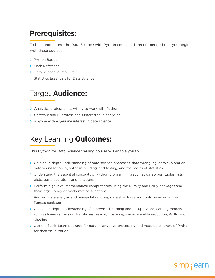# **Prerequisites:**

To best understand the Data Science with Python course, it is recommended that you begin with these courses:

- > Python Basics
- > Math Refresher
- > Data Science in Real Life
- Statistics Essentials for Data Science

### Target **Audience:**

- > Analytics professionals willing to work with Python
- $\triangleright$  Software and IT professionals interested in analytics
- > Anyone with a genuine interest in data science

# Key Learning **Outcomes:**

This Python for Data Science training course will enable you to:

- $\geq$  Gain an in-depth understanding of data science processes, data wrangling, data exploration, data visualization, hypothesis building, and testing; and the basics of statistics
- $>$  Understand the essential concepts of Python programming such as datatypes, tuples, lists, dicts, basic operators, and functions
- $\triangleright$  Perform high-level mathematical computations using the NumPy and SciPy packages and their large library of mathematical functions
- $\ge$  Perform data analysis and manipulation using data structures and tools provided in the Pandas package
- $\geq$  Gain an in-depth understanding of supervised learning and unsupervised learning models such as linear regression, logistic regression, clustering, dimensionality reduction, K-NN, and pipeline
- > Use the Scikit-Learn package for natural language processing and matplotlib library of Python for data visualization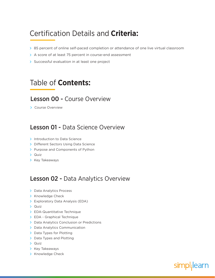# Certification Details and **Criteria:**

- 85 percent of online self-paced completion or attendance of one live virtual classroom
- > A score of at least 75 percent in course-end assessment
- $\triangleright$  Successful evaluation in at least one project

### Table of **Contents:**

#### Lesson 00 - Course Overview

> Course Overview

### Lesson 01 - Data Science Overview

- > Introduction to Data Science
- > Different Sectors Using Data Science
- > Purpose and Components of Python
- > Quiz
- > Key Takeaways

### Lesson 02 - Data Analytics Overview

- > Data Analytics Process
- > Knowledge Check
- Exploratory Data Analysis (EDA)
- $\sum$  Quiz
- > EDA-Quantitative Technique
- > EDA Graphical Technique
- > Data Analytics Conclusion or Predictions
- > Data Analytics Communication
- > Data Types for Plotting
- > Data Types and Plotting
- Quiz
- > Key Takeaways
- > Knowledge Check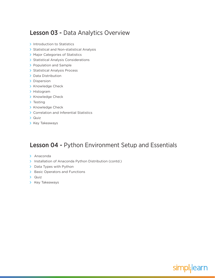### Lesson 03 - Data Analytics Overview

- $\triangleright$  Introduction to Statistics
- > Statistical and Non-statistical Analysis
- > Major Categories of Statistics
- > Statistical Analysis Considerations
- > Population and Sample
- > Statistical Analysis Process
- > Data Distribution
- > Dispersion
- > Knowledge Check
- > Histogram
- > Knowledge Check
- > Testing
- > Knowledge Check
- Correlation and Inferential Statistics
- Quiz
- $\triangleright$  Key Takeaways

### Lesson 04 - Python Environment Setup and Essentials

- > Anaconda
- > Installation of Anaconda Python Distribution (contd.)
- $\triangleright$  Data Types with Python
- > Basic Operators and Functions
- > Quiz
- $\triangleright$  Key Takeaways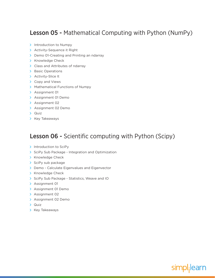### Lesson 05 - Mathematical Computing with Python (NumPy)

- $\sum$  Introduction to Numpy
- > Activity-Sequence it Right
- > Demo 01-Creating and Printing an ndarray
- > Knowledge Check
- > Class and Attributes of ndarray
- > Basic Operations
- > Activity-Slice It
- > Copy and Views
- > Mathematical Functions of Numpy
- > Assignment 01
- > Assignment 01 Demo
- > Assignment 02
- > Assignment 02 Demo
- $\sum$  Quiz
- $\triangleright$  Key Takeaways

### Lesson 06 - Scientific computing with Python (Scipy)

- > Introduction to SciPy
- SciPy Sub Package Integration and Optimization
- > Knowledge Check
- $\sum$  SciPy sub package
- > Demo Calculate Eigenvalues and Eigenvector
- > Knowledge Check
- SciPy Sub Package Statistics, Weave and IO
- > Assignment 01
- > Assignment 01 Demo
- > Assignment 02
- > Assignment 02 Demo
- > Quiz
- > Key Takeaways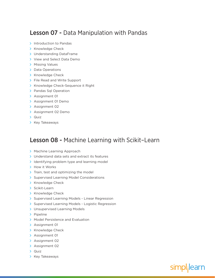### Lesson 07 - Data Manipulation with Pandas

- > Introduction to Pandas
- > Knowledge Check
- Understanding DataFrame
- > View and Select Data Demo
- > Missing Values
- > Data Operations
- > Knowledge Check
- > File Read and Write Support
- > Knowledge Check-Sequence it Right
- > Pandas Sql Operation
- > Assignment 01
- > Assignment 01 Demo
- > Assignment 02
- > Assignment 02 Demo
- > Quiz
- $\triangleright$  Key Takeaways

#### Lesson 08 - Machine Learning with Scikit–Learn

- > Machine Learning Approach
- > Understand data sets and extract its features
- $\geq$  Identifying problem type and learning model
- > How it Works
- $\sum$  Train, test and optimizing the model
- > Supervised Learning Model Considerations
- > Knowledge Check
- > Scikit-Learn
- > Knowledge Check
- > Supervised Learning Models Linear Regression
- > Supervised Learning Models Logistic Regression
- > Unsupervised Learning Models
- > Pipeline
- > Model Persistence and Evaluation
- > Assignment 01
- > Knowledge Check
- > Assignment 01
- > Assignment 02
- > Assignment 02
- $\sum$  Quiz
- > Key Takeaways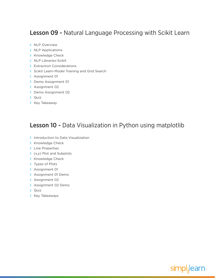### Lesson 09 - Natural Language Processing with Scikit Learn

- > NLP Overview
- > NLP Applications
- > Knowledge Check
- > NLP Libraries-Scikit
- > Extraction Considerations
- Scikit Learn-Model Training and Grid Search
- > Assignment 01
- > Demo Assignment 01
- > Assignment 02
- > Demo Assignment 02
- $\sum$  Quiz
- $\triangleright$  Key Takeaway

### Lesson 10 - Data Visualization in Python using matplotlib

- > Introduction to Data Visualization
- > Knowledge Check
- > Line Properties
- $\rightarrow$  (x,y) Plot and Subplots
- > Knowledge Check
- > Types of Plots
- > Assignment 01
- > Assignment 01 Demo
- > Assignment 02
- > Assignment 02 Demo
- Quiz
- $\triangleright$  Key Takeaways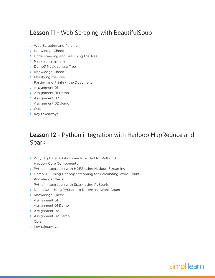### Lesson 11 - Web Scraping with BeautifulSoup

- > Web Scraping and Parsing
- > Knowledge Check
- > Understanding and Searching the Tree
- > Navigating options
- > Demo3 Navigating a Tree
- > Knowledge Check
- > Modifying the Tree
- > Parsing and Printing the Document
- > Assignment 01
- > Assignment 01 Demo
- > Assignment 02
- > Assignment 02 demo
- > Quiz
- $\triangleright$  Key takeaways

### Lesson 12 - Python integration with Hadoop MapReduce and Spark

- Why Big Data Solutions are Provided for Python0
- > Hadoop Core Components
- > Python Integration with HDFS using Hadoop Streaming
- > Demo 01 Using Hadoop Streaming for Calculating Word Count
- > Knowledge Check
- > Python Integration with Spark using PySpark
- > Demo 02 Using PySpark to Determine Word Count
- > Knowledge Check
- > Assignment 01
- > Assignment 01 Demo
- > Assignment 02
- > Assignment 02 Demo
- > Quiz
- $\triangleright$  Key takeaways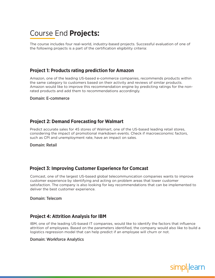# Course End **Projects:**

The course includes four real-world, industry-based projects. Successful evaluation of one of the following projects is a part of the certification eligibility criteria:

#### **Project 1: Products rating prediction for Amazon**

Amazon, one of the leading US-based e-commerce companies, recommends products within the same category to customers based on their activity and reviews of similar products. Amazon would like to improve this recommendation engine by predicting ratings for the nonrated products and add them to recommendations accordingly.

Domain: E-commerce

#### **Project 2: Demand Forecasting for Walmart**

Predict accurate sales for 45 stores of Walmart, one of the US-based leading retail stores, considering the impact of promotional markdown events. Check if macroeconomic factors, such as CPI and unemployment rate, have an impact on sales.

Domain: Retail

#### **Project 3: Improving Customer Experience for Comcast**

Comcast, one of the largest US-based global telecommunication companies wants to improve customer experience by identifying and acting on problem areas that lower customer satisfaction. The company is also looking for key recommendations that can be implemented to deliver the best customer experience.

Domain: Telecom

#### **Project 4: Attrition Analysis for IBM**

IBM, one of the leading US-based IT companies, would like to identify the factors that influence attrition of employees. Based on the parameters identified, the company would also like to build a logistics regression model that can help predict if an employee will churn or not.

#### Domain: Workforce Analytics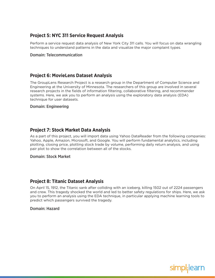#### **Project 5: NYC 311 Service Request Analysis**

Perform a service request data analysis of New York City 311 calls. You will focus on data wrangling techniques to understand patterns in the data and visualize the major complaint types.

#### Domain: Telecommunication

#### **Project 6: MovieLens Dataset Analysis**

The GroupLens Research Project is a research group in the Department of Computer Science and Engineering at the University of Minnesota. The researchers of this group are involved in several research projects in the fields of information filtering, collaborative filtering, and recommender systems. Here, we ask you to perform an analysis using the exploratory data analysis (EDA) technique for user datasets.

#### Domain: Engineering

#### **Project 7: Stock Market Data Analysis**

As a part of this project, you will import data using Yahoo DataReader from the following companies: Yahoo, Apple, Amazon, Microsoft, and Google. You will perform fundamental analytics, including plotting, closing price, plotting stock trade by volume, performing daily return analysis, and using pair plot to show the correlation between all of the stocks.

#### Domain: Stock Market

#### **Project 8: Titanic Dataset Analysis**

On April 15, 1912, the Titanic sank after colliding with an iceberg, killing 1502 out of 2224 passengers and crew. This tragedy shocked the world and led to better safety regulations for ships. Here, we ask you to perform an analysis using the EDA technique, in particular applying machine learning tools to predict which passengers survived the tragedy.

#### Domain: Hazard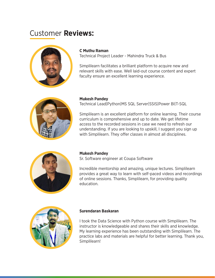# Customer **Reviews:**



#### **C Muthu Raman**

Technical Project Leader - Mahindra Truck & Bus

Simplilearn facilitates a brilliant platform to acquire new and relevant skills with ease. Well laid-out course content and expert faculty ensure an excellent learning experience.



#### **Mukesh Pandey**

Technical Lead|Python|MS SQL Server|SSIS|Power BI|T-SQL

Simplilearn is an excellent platform for online learning. Their course curriculum is comprehensive and up to date. We get lifetime access to the recorded sessions in case we need to refresh our understanding. If you are looking to upskill, I suggest you sign up with Simplilearn. They offer classes in almost all disciplines.



#### **Mukesh Pandey**

Sr. Software engineer at Coupa Software

Incredible mentorship and amazing, unique lectures. Simplilearn provides a great way to learn with self-paced videos and recordings of online sessions. Thanks, Simplilearn, for providing quality education.



#### **Surendaran Baskaran**

I took the Data Science with Python course with Simplilearn. The instructor is knowledgeable and shares their skills and knowledge. My learning experience has been outstanding with Simplilearn. The practice labs and materials are helpful for better learning. Thank you, Simplilearn!